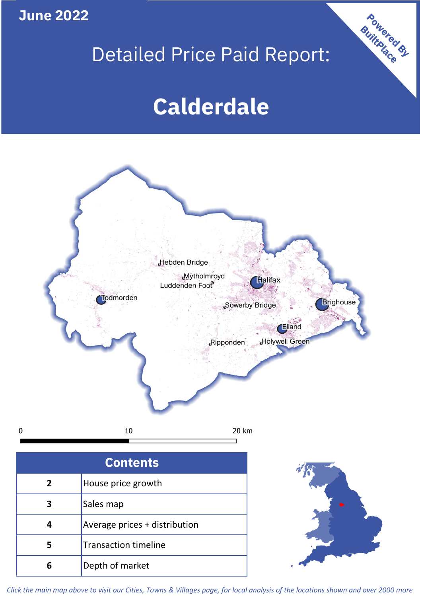**June 2022**

**5**

Transaction timeline

**6** Depth of market

## Detailed Price Paid Report:

Powered By

# **Calderdale**



*Click the main map above to visit our Cities, Towns & Villages page, for local analysis of the locations shown and over 2000 more*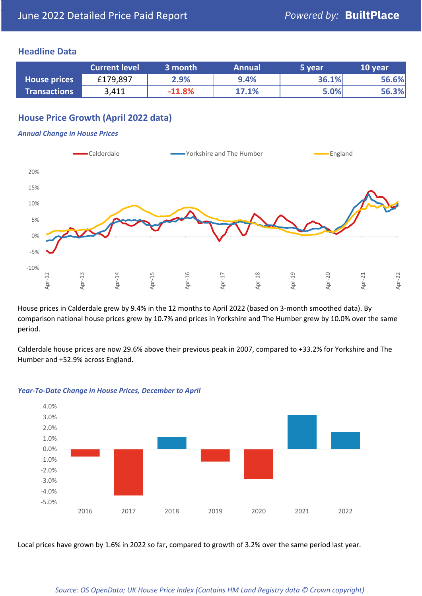### **Headline Data**

|                     | <b>Current level</b> | 3 month  | <b>Annual</b> | 5 year | 10 year |
|---------------------|----------------------|----------|---------------|--------|---------|
| <b>House prices</b> | £179,897             | 2.9%     | 9.4%          | 36.1%  | 56.6%   |
| <b>Transactions</b> | 3,411                | $-11.8%$ | 17.1%         | 5.0%   | 56.3%   |

## **House Price Growth (April 2022 data)**

#### *Annual Change in House Prices*



House prices in Calderdale grew by 9.4% in the 12 months to April 2022 (based on 3-month smoothed data). By comparison national house prices grew by 10.7% and prices in Yorkshire and The Humber grew by 10.0% over the same period.

Calderdale house prices are now 29.6% above their previous peak in 2007, compared to +33.2% for Yorkshire and The Humber and +52.9% across England.



#### *Year-To-Date Change in House Prices, December to April*

Local prices have grown by 1.6% in 2022 so far, compared to growth of 3.2% over the same period last year.

#### *Source: OS OpenData; UK House Price Index (Contains HM Land Registry data © Crown copyright)*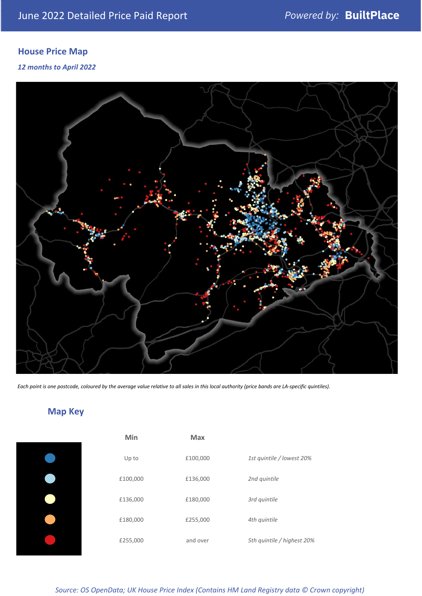## **House Price Map**

*12 months to April 2022*



*Each point is one postcode, coloured by the average value relative to all sales in this local authority (price bands are LA-specific quintiles).*

## **Map Key**

| Min      |
|----------|
| Up to    |
| £100,000 |
| £136,000 |
| £180,000 |
| £255,000 |
|          |

| Min      | <b>Max</b> |                            |
|----------|------------|----------------------------|
| Up to    | £100,000   | 1st quintile / lowest 20%  |
| £100,000 | £136,000   | 2nd quintile               |
| £136,000 | £180,000   | 3rd quintile               |
| £180,000 | £255,000   | 4th quintile               |
| £255,000 | and over   | 5th quintile / highest 20% |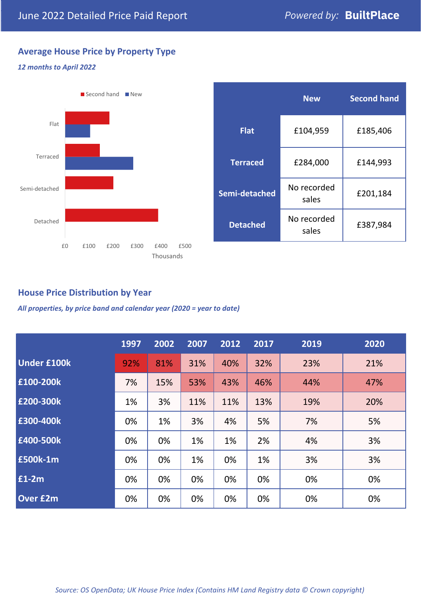## **Average House Price by Property Type**

#### *12 months to April 2022*



|                 | <b>New</b>           | <b>Second hand</b> |  |
|-----------------|----------------------|--------------------|--|
| <b>Flat</b>     | £104,959             | £185,406           |  |
| <b>Terraced</b> | £284,000             | £144,993           |  |
| Semi-detached   | No recorded<br>sales | £201,184           |  |
| <b>Detached</b> | No recorded<br>sales | £387,984           |  |

## **House Price Distribution by Year**

*All properties, by price band and calendar year (2020 = year to date)*

|                    | 1997 | 2002 | 2007 | 2012 | 2017 | 2019 | 2020 |
|--------------------|------|------|------|------|------|------|------|
| <b>Under £100k</b> | 92%  | 81%  | 31%  | 40%  | 32%  | 23%  | 21%  |
| £100-200k          | 7%   | 15%  | 53%  | 43%  | 46%  | 44%  | 47%  |
| £200-300k          | 1%   | 3%   | 11%  | 11%  | 13%  | 19%  | 20%  |
| £300-400k          | 0%   | 1%   | 3%   | 4%   | 5%   | 7%   | 5%   |
| £400-500k          | 0%   | 0%   | 1%   | 1%   | 2%   | 4%   | 3%   |
| <b>£500k-1m</b>    | 0%   | 0%   | 1%   | 0%   | 1%   | 3%   | 3%   |
| £1-2m              | 0%   | 0%   | 0%   | 0%   | 0%   | 0%   | 0%   |
| <b>Over £2m</b>    | 0%   | 0%   | 0%   | 0%   | 0%   | 0%   | 0%   |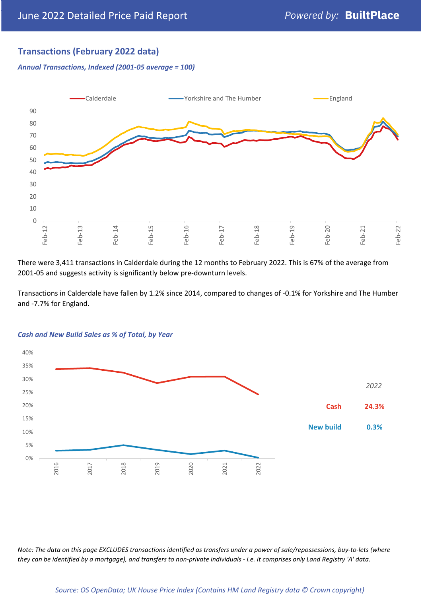## **Transactions (February 2022 data)**

*Annual Transactions, Indexed (2001-05 average = 100)*



There were 3,411 transactions in Calderdale during the 12 months to February 2022. This is 67% of the average from 2001-05 and suggests activity is significantly below pre-downturn levels.

Transactions in Calderdale have fallen by 1.2% since 2014, compared to changes of -0.1% for Yorkshire and The Humber and -7.7% for England.



#### *Cash and New Build Sales as % of Total, by Year*

*Note: The data on this page EXCLUDES transactions identified as transfers under a power of sale/repossessions, buy-to-lets (where they can be identified by a mortgage), and transfers to non-private individuals - i.e. it comprises only Land Registry 'A' data.*